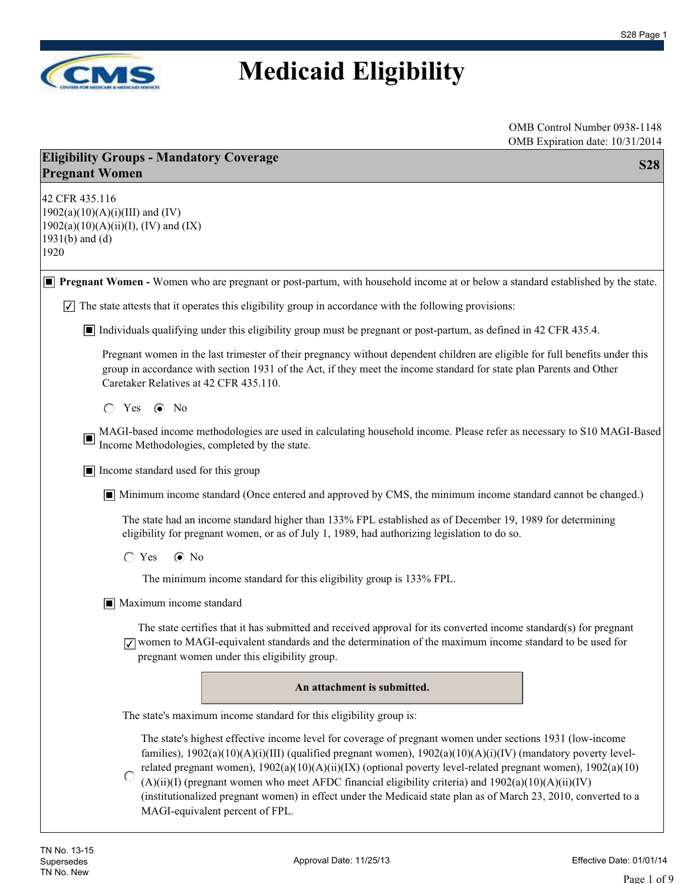

| <b>Eligibility Groups - Mandatory Coverage</b><br><b>S28</b><br><b>Pregnant Women</b>                                                                                                                                                                                                                                                                                                                                                                                                                                                                                                                           |  |  |  |  |  |  |
|-----------------------------------------------------------------------------------------------------------------------------------------------------------------------------------------------------------------------------------------------------------------------------------------------------------------------------------------------------------------------------------------------------------------------------------------------------------------------------------------------------------------------------------------------------------------------------------------------------------------|--|--|--|--|--|--|
| 42 CFR 435.116<br>$(1902(a)(10)(A)(i)(III)$ and (IV)<br>$(1902(a)(10)(A)(ii)(I), (IV)$ and $(IX)$<br>$(1931(b)$ and $(d)$<br>1920                                                                                                                                                                                                                                                                                                                                                                                                                                                                               |  |  |  |  |  |  |
| <b>Pregnant Women</b> - Women who are pregnant or post-partum, with household income at or below a standard established by the state.                                                                                                                                                                                                                                                                                                                                                                                                                                                                           |  |  |  |  |  |  |
| $\sqrt{\sqrt{ }}$ The state attests that it operates this eligibility group in accordance with the following provisions:                                                                                                                                                                                                                                                                                                                                                                                                                                                                                        |  |  |  |  |  |  |
| $\blacksquare$ Individuals qualifying under this eligibility group must be pregnant or post-partum, as defined in 42 CFR 435.4.                                                                                                                                                                                                                                                                                                                                                                                                                                                                                 |  |  |  |  |  |  |
| Pregnant women in the last trimester of their pregnancy without dependent children are eligible for full benefits under this<br>group in accordance with section 1931 of the Act, if they meet the income standard for state plan Parents and Other<br>Caretaker Relatives at 42 CFR 435.110.                                                                                                                                                                                                                                                                                                                   |  |  |  |  |  |  |
| $\bigcap$ Yes $\bigcirc$ No                                                                                                                                                                                                                                                                                                                                                                                                                                                                                                                                                                                     |  |  |  |  |  |  |
| MAGI-based income methodologies are used in calculating household income. Please refer as necessary to S10 MAGI-Based<br>L<br>Income Methodologies, completed by the state.                                                                                                                                                                                                                                                                                                                                                                                                                                     |  |  |  |  |  |  |
| $\blacksquare$ Income standard used for this group                                                                                                                                                                                                                                                                                                                                                                                                                                                                                                                                                              |  |  |  |  |  |  |
| [n] Minimum income standard (Once entered and approved by CMS, the minimum income standard cannot be changed.)                                                                                                                                                                                                                                                                                                                                                                                                                                                                                                  |  |  |  |  |  |  |
| The state had an income standard higher than 133% FPL established as of December 19, 1989 for determining<br>eligibility for pregnant women, or as of July 1, 1989, had authorizing legislation to do so.                                                                                                                                                                                                                                                                                                                                                                                                       |  |  |  |  |  |  |
| $\bigcap$ Yes<br>$\odot$ No                                                                                                                                                                                                                                                                                                                                                                                                                                                                                                                                                                                     |  |  |  |  |  |  |
| The minimum income standard for this eligibility group is 133% FPL.                                                                                                                                                                                                                                                                                                                                                                                                                                                                                                                                             |  |  |  |  |  |  |
| $\blacksquare$ Maximum income standard                                                                                                                                                                                                                                                                                                                                                                                                                                                                                                                                                                          |  |  |  |  |  |  |
| The state certifies that it has submitted and received approval for its converted income standard(s) for pregnant<br>$\sqrt{\sqrt{ }}$ women to MAGI-equivalent standards and the determination of the maximum income standard to be used for<br>pregnant women under this eligibility group.                                                                                                                                                                                                                                                                                                                   |  |  |  |  |  |  |
| An attachment is submitted.                                                                                                                                                                                                                                                                                                                                                                                                                                                                                                                                                                                     |  |  |  |  |  |  |
| The state's maximum income standard for this eligibility group is:                                                                                                                                                                                                                                                                                                                                                                                                                                                                                                                                              |  |  |  |  |  |  |
| The state's highest effective income level for coverage of pregnant women under sections 1931 (low-income<br>families), $1902(a)(10)(A)(i)(III)$ (qualified pregnant women), $1902(a)(10)(A)(i)(IV)$ (mandatory poverty level-<br>related pregnant women), $1902(a)(10)(A)(ii)(IX)$ (optional poverty level-related pregnant women), $1902(a)(10)$<br>(A)(ii)(I) (pregnant women who meet AFDC financial eligibility criteria) and 1902(a)(10)(A)(ii)(IV)<br>(institutionalized pregnant women) in effect under the Medicaid state plan as of March 23, 2010, converted to a<br>MAGI-equivalent percent of FPL. |  |  |  |  |  |  |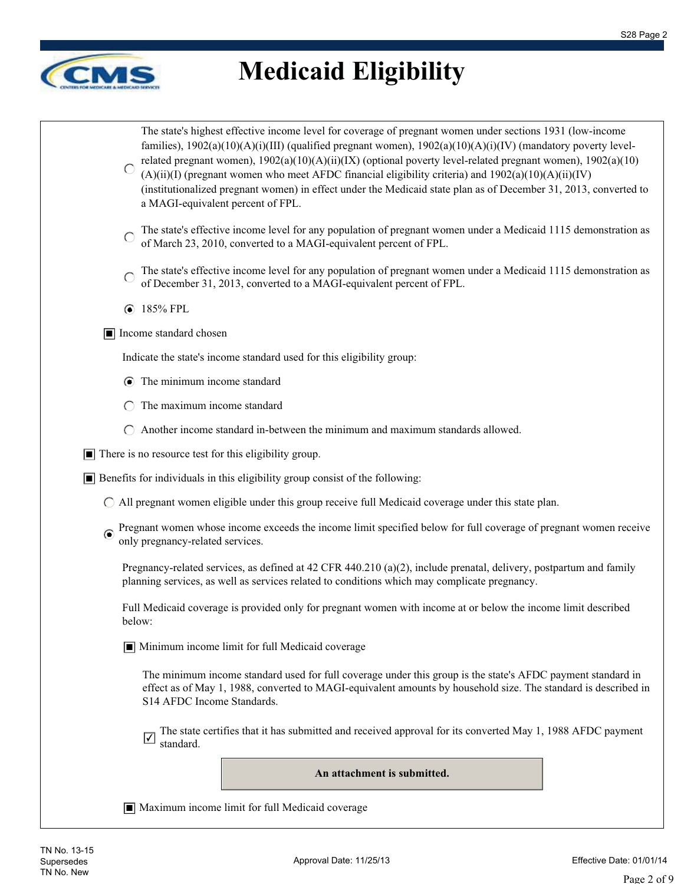

|        | Maximum income limit for full Medicaid coverage                                                                                                                                                                                                                                                                                                                                                                                                                                                                                                                                                                        |  |  |  |  |  |  |
|--------|------------------------------------------------------------------------------------------------------------------------------------------------------------------------------------------------------------------------------------------------------------------------------------------------------------------------------------------------------------------------------------------------------------------------------------------------------------------------------------------------------------------------------------------------------------------------------------------------------------------------|--|--|--|--|--|--|
|        | An attachment is submitted.                                                                                                                                                                                                                                                                                                                                                                                                                                                                                                                                                                                            |  |  |  |  |  |  |
|        | The state certifies that it has submitted and received approval for its converted May 1, 1988 AFDC payment<br>$\sqrt{}$<br>standard.                                                                                                                                                                                                                                                                                                                                                                                                                                                                                   |  |  |  |  |  |  |
|        | The minimum income standard used for full coverage under this group is the state's AFDC payment standard in<br>effect as of May 1, 1988, converted to MAGI-equivalent amounts by household size. The standard is described in<br>S14 AFDC Income Standards.                                                                                                                                                                                                                                                                                                                                                            |  |  |  |  |  |  |
|        | $\boxed{\blacksquare}$ Minimum income limit for full Medicaid coverage                                                                                                                                                                                                                                                                                                                                                                                                                                                                                                                                                 |  |  |  |  |  |  |
| below: | Full Medicaid coverage is provided only for pregnant women with income at or below the income limit described                                                                                                                                                                                                                                                                                                                                                                                                                                                                                                          |  |  |  |  |  |  |
|        | Pregnancy-related services, as defined at 42 CFR 440.210 (a)(2), include prenatal, delivery, postpartum and family<br>planning services, as well as services related to conditions which may complicate pregnancy.                                                                                                                                                                                                                                                                                                                                                                                                     |  |  |  |  |  |  |
|        | Pregnant women whose income exceeds the income limit specified below for full coverage of pregnant women receive<br>only pregnancy-related services.                                                                                                                                                                                                                                                                                                                                                                                                                                                                   |  |  |  |  |  |  |
|        | $\bigcirc$ All pregnant women eligible under this group receive full Medicaid coverage under this state plan.                                                                                                                                                                                                                                                                                                                                                                                                                                                                                                          |  |  |  |  |  |  |
|        | $\blacksquare$ Benefits for individuals in this eligibility group consist of the following:                                                                                                                                                                                                                                                                                                                                                                                                                                                                                                                            |  |  |  |  |  |  |
|        | $\blacksquare$ There is no resource test for this eligibility group.                                                                                                                                                                                                                                                                                                                                                                                                                                                                                                                                                   |  |  |  |  |  |  |
|        | Another income standard in-between the minimum and maximum standards allowed.                                                                                                                                                                                                                                                                                                                                                                                                                                                                                                                                          |  |  |  |  |  |  |
|        | The maximum income standard                                                                                                                                                                                                                                                                                                                                                                                                                                                                                                                                                                                            |  |  |  |  |  |  |
|        | $\odot$ The minimum income standard                                                                                                                                                                                                                                                                                                                                                                                                                                                                                                                                                                                    |  |  |  |  |  |  |
|        | Indicate the state's income standard used for this eligibility group:                                                                                                                                                                                                                                                                                                                                                                                                                                                                                                                                                  |  |  |  |  |  |  |
|        | Income standard chosen                                                                                                                                                                                                                                                                                                                                                                                                                                                                                                                                                                                                 |  |  |  |  |  |  |
|        | <b>● 185% FPL</b>                                                                                                                                                                                                                                                                                                                                                                                                                                                                                                                                                                                                      |  |  |  |  |  |  |
|        | The state's effective income level for any population of pregnant women under a Medicaid 1115 demonstration as<br>of December 31, 2013, converted to a MAGI-equivalent percent of FPL.                                                                                                                                                                                                                                                                                                                                                                                                                                 |  |  |  |  |  |  |
|        | The state's effective income level for any population of pregnant women under a Medicaid 1115 demonstration as<br>of March 23, 2010, converted to a MAGI-equivalent percent of FPL.                                                                                                                                                                                                                                                                                                                                                                                                                                    |  |  |  |  |  |  |
|        | The state's highest effective income level for coverage of pregnant women under sections 1931 (low-income<br>families), $1902(a)(10)(A)(i)(III)$ (qualified pregnant women), $1902(a)(10)(A)(i)(IV)$ (mandatory poverty level-<br>related pregnant women), $1902(a)(10)(A)(ii)(IX)$ (optional poverty level-related pregnant women), $1902(a)(10)$<br>$(A)(ii)(I)$ (pregnant women who meet AFDC financial eligibility criteria) and $1902(a)(10)(A)(ii)(IV)$<br>(institutionalized pregnant women) in effect under the Medicaid state plan as of December 31, 2013, converted to<br>a MAGI-equivalent percent of FPL. |  |  |  |  |  |  |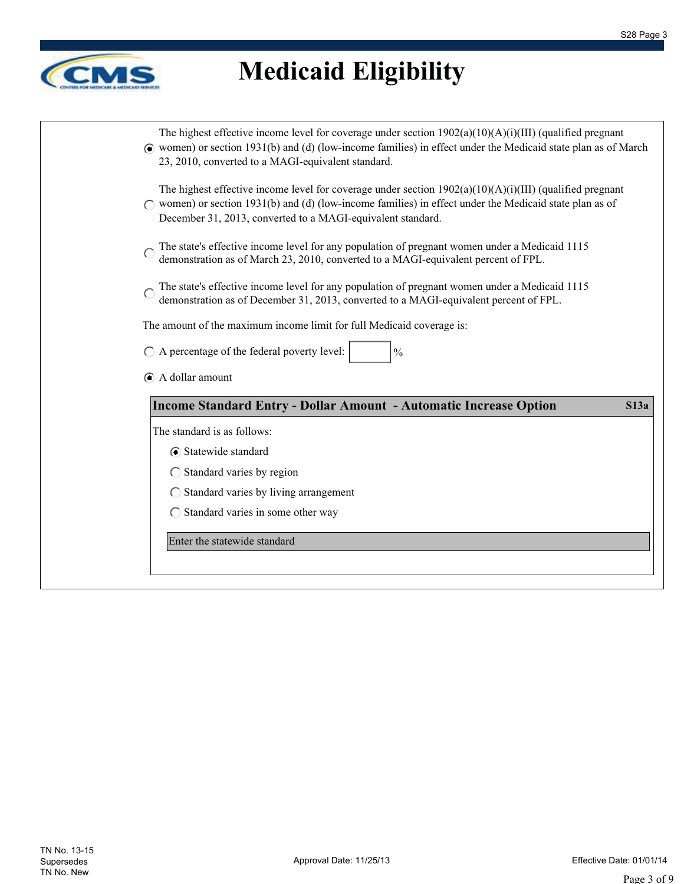

| The highest effective income level for coverage under section $1902(a)(10)(A)(i)(III)$ (qualified pregnant<br>• (• women) or section 1931(b) and (d) (low-income families) in effect under the Medicaid state plan as of March<br>23, 2010, converted to a MAGI-equivalent standard. |
|--------------------------------------------------------------------------------------------------------------------------------------------------------------------------------------------------------------------------------------------------------------------------------------|
| The highest effective income level for coverage under section $1902(a)(10)(A)(i)(III)$ (qualified pregnant<br>women) or section 1931(b) and (d) (low-income families) in effect under the Medicaid state plan as of<br>December 31, 2013, converted to a MAGI-equivalent standard.   |
| The state's effective income level for any population of pregnant women under a Medicaid 1115<br>demonstration as of March 23, 2010, converted to a MAGI-equivalent percent of FPL.                                                                                                  |
| The state's effective income level for any population of pregnant women under a Medicaid 1115<br>demonstration as of December 31, 2013, converted to a MAGI-equivalent percent of FPL.                                                                                               |
| The amount of the maximum income limit for full Medicaid coverage is:                                                                                                                                                                                                                |
| $\bigcirc$ A percentage of the federal poverty level:<br>$\frac{0}{0}$                                                                                                                                                                                                               |
| $\odot$ A dollar amount                                                                                                                                                                                                                                                              |
| Income Standard Entry - Dollar Amount - Automatic Increase Option<br>S13a                                                                                                                                                                                                            |
| The standard is as follows:                                                                                                                                                                                                                                                          |
| <b>⊙</b> Statewide standard                                                                                                                                                                                                                                                          |
| Standard varies by region                                                                                                                                                                                                                                                            |
| Standard varies by living arrangement                                                                                                                                                                                                                                                |
| Standard varies in some other way                                                                                                                                                                                                                                                    |
| Enter the statewide standard                                                                                                                                                                                                                                                         |
|                                                                                                                                                                                                                                                                                      |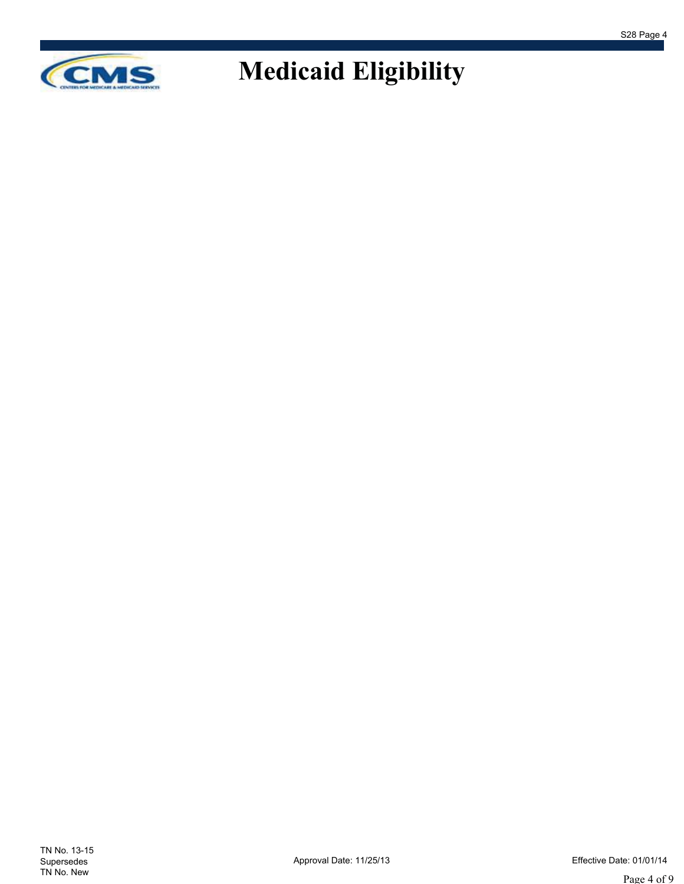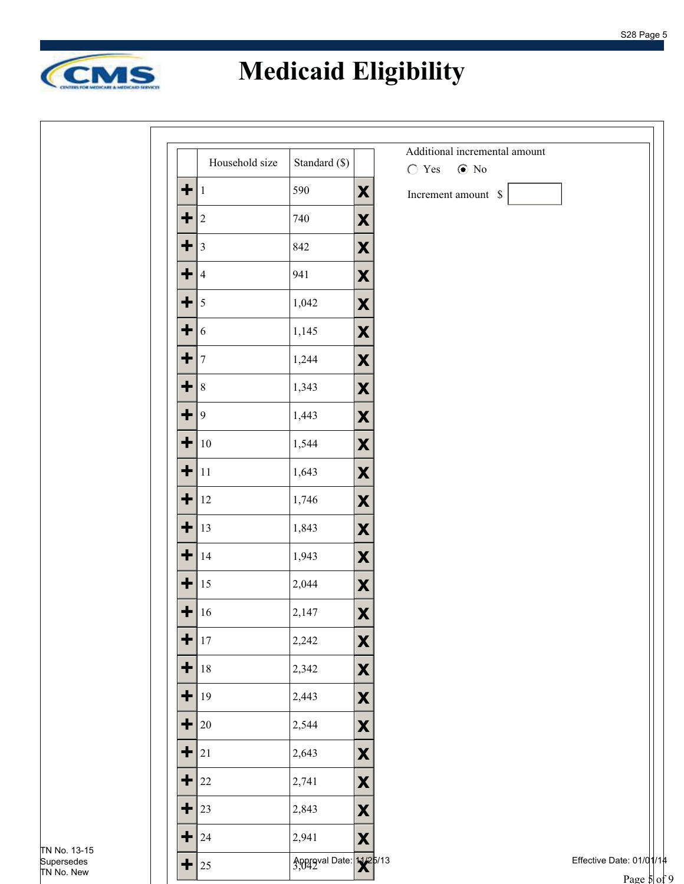

|                      | Household size   | Standard (\$)                 |                           | Additional incremental amount<br>$\bigcirc$ Yes<br>$\odot$ No |
|----------------------|------------------|-------------------------------|---------------------------|---------------------------------------------------------------|
| $\div$               | 1                | 590                           | X                         | Increment amount \$                                           |
| $\ddot{\phantom{1}}$ | $\sqrt{2}$       | 740                           | X                         |                                                               |
| $\div$               | $\vert 3 \vert$  | 842                           | X                         |                                                               |
| $\ddot{}$            | $\vert 4$        | 941                           | X                         |                                                               |
| $\ddot{}$            | $\overline{5}$   | 1,042                         | $\boldsymbol{\mathsf{X}}$ |                                                               |
| $\div$               | $\sqrt{6}$       | 1,145                         | X                         |                                                               |
| $\div$               | $\boldsymbol{7}$ | 1,244                         | X                         |                                                               |
| $\ddot{}$            | $\,8\,$          | 1,343                         | X                         |                                                               |
| $\ddot{}$            | 9                | 1,443                         | X                         |                                                               |
| $\ddot{\phantom{1}}$ | $10\,$           | 1,544                         | X                         |                                                               |
| $\div$               | $11\,$           | 1,643                         | X                         |                                                               |
| $\div$               | 12               | 1,746                         | X                         |                                                               |
| $\div$               | 13               | 1,843                         | X                         |                                                               |
| $\ddot{}$            | 14               | 1,943                         | $\boldsymbol{\mathsf{X}}$ |                                                               |
| $\div$               | 15               | 2,044                         | X                         |                                                               |
| $\div$               | 16               | 2,147                         | $\boldsymbol{\mathsf{X}}$ |                                                               |
|                      | $+$ 17           | 2,242                         | X                         |                                                               |
|                      | $+$   18         | 2,342                         | X                         |                                                               |
| $\ddot{\phantom{1}}$ | $ 19\rangle$     | 2,443                         | $\boldsymbol{\mathsf{X}}$ |                                                               |
| $\ddag$              | $\vert$ 20       | 2,544                         | X                         |                                                               |
| $\div$               | 21               | 2,643                         | X                         |                                                               |
| $\div$               | 22               | 2,741                         | X                         |                                                               |
| ٠                    | 23               | 2,843                         | X                         |                                                               |
| ٠                    | $\vert$ 24       | 2,941                         | X                         |                                                               |
|                      | $+$ 25           | <b>Approval Date:</b> 1125/13 |                           |                                                               |

TN No. 13-15 Supersedes TN No. New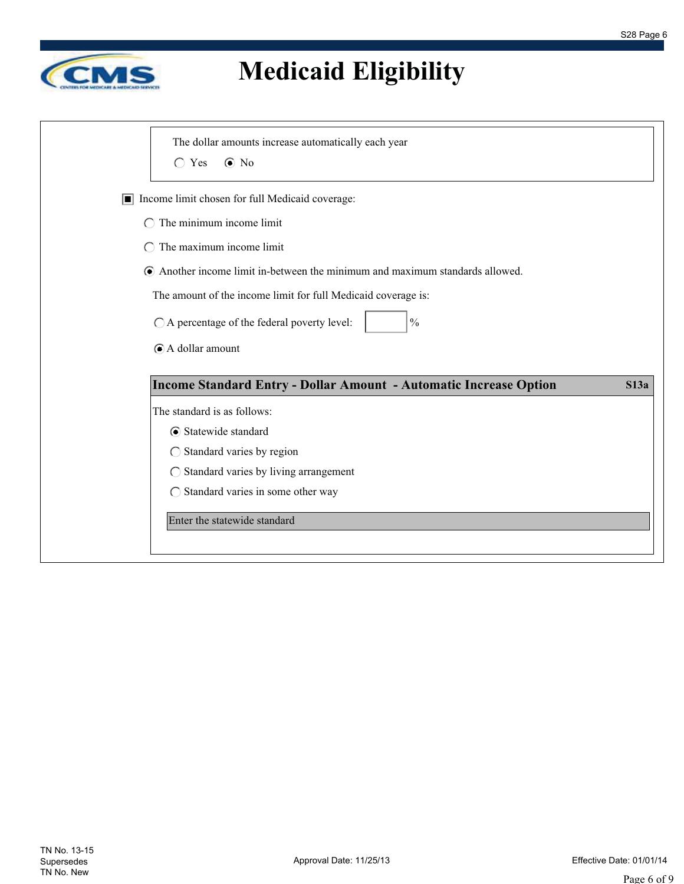

| The dollar amounts increase automatically each year<br>$\odot$ No<br>Yes<br>$\bigcap$ |  |  |  |  |  |  |  |  |
|---------------------------------------------------------------------------------------|--|--|--|--|--|--|--|--|
| Income limit chosen for full Medicaid coverage:                                       |  |  |  |  |  |  |  |  |
| The minimum income limit                                                              |  |  |  |  |  |  |  |  |
| The maximum income limit                                                              |  |  |  |  |  |  |  |  |
| $\odot$ Another income limit in-between the minimum and maximum standards allowed.    |  |  |  |  |  |  |  |  |
| The amount of the income limit for full Medicaid coverage is:                         |  |  |  |  |  |  |  |  |
| $\frac{0}{0}$<br>○ A percentage of the federal poverty level:                         |  |  |  |  |  |  |  |  |
| A dollar amount                                                                       |  |  |  |  |  |  |  |  |
| Income Standard Entry - Dollar Amount - Automatic Increase Option<br>S13a             |  |  |  |  |  |  |  |  |
| The standard is as follows:                                                           |  |  |  |  |  |  |  |  |
| <b>⊙</b> Statewide standard                                                           |  |  |  |  |  |  |  |  |
| $\bigcirc$ Standard varies by region                                                  |  |  |  |  |  |  |  |  |
| $\bigcirc$ Standard varies by living arrangement                                      |  |  |  |  |  |  |  |  |
| $\bigcirc$ Standard varies in some other way                                          |  |  |  |  |  |  |  |  |
| Enter the statewide standard                                                          |  |  |  |  |  |  |  |  |
|                                                                                       |  |  |  |  |  |  |  |  |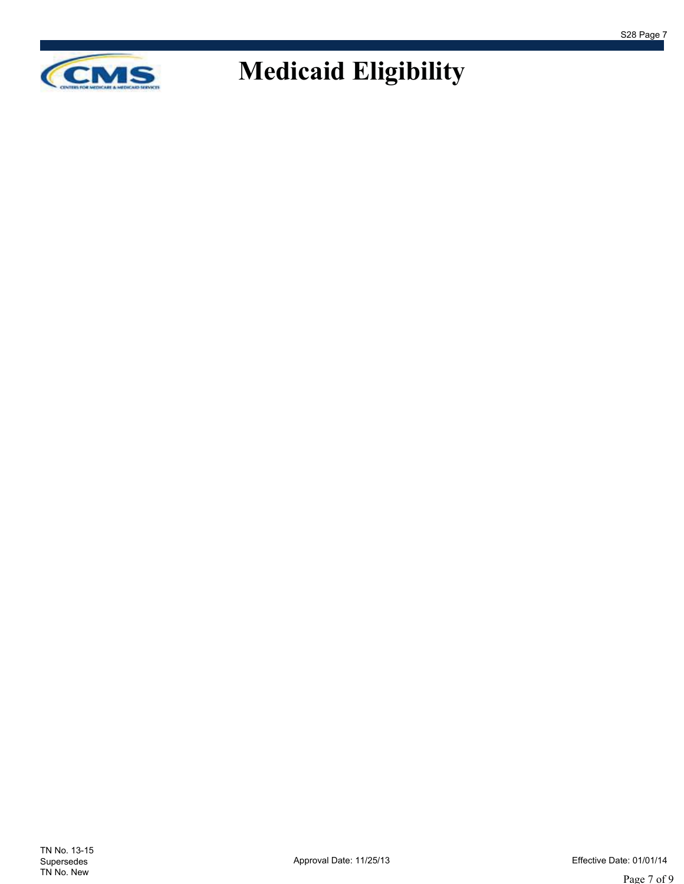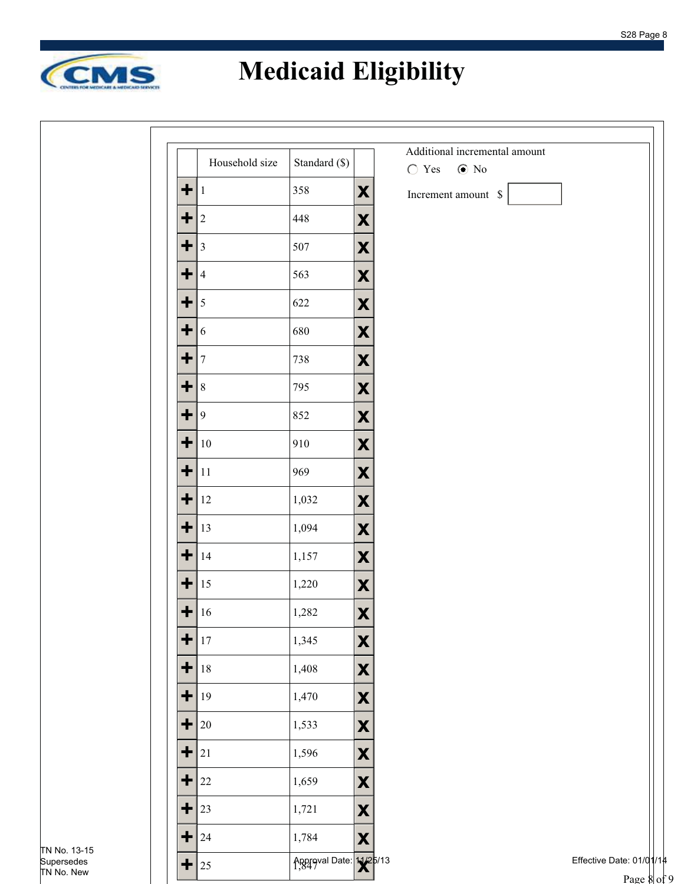

|           | Household size          | Standard (\$)          |                           | Additional incremental amount<br>$\bigcirc$ Yes<br>$\odot$ No |
|-----------|-------------------------|------------------------|---------------------------|---------------------------------------------------------------|
| $\div$    | $\mathbf{1}$            | 358                    | $\mathbf{X}$              | Increment amount \$                                           |
| $\div$    | $\overline{2}$          | 448                    | X                         |                                                               |
| $\div$    | $\vert 3 \vert$         | 507                    | X                         |                                                               |
| $\div$    | 4                       | 563                    | X                         |                                                               |
| $\div$    | $\overline{\mathbf{5}}$ | 622                    | $\boldsymbol{\mathsf{X}}$ |                                                               |
| $\div$    | $\sqrt{6}$              | 680                    | $\mathbf{x}$              |                                                               |
| $\div$    | 7                       | 738                    | X                         |                                                               |
| $\div$    | $\,8\,$                 | 795                    | X                         |                                                               |
| $\div$    | $\overline{9}$          | 852                    | X                         |                                                               |
| $\div$    | 10                      | 910                    | X                         |                                                               |
| ╈         | $11\,$                  | 969                    | $\mathbf{x}$              |                                                               |
| $\div$    | 12                      | 1,032                  | X                         |                                                               |
| $\div$    | 13                      | 1,094                  | X                         |                                                               |
| $\div$    | 14                      | 1,157                  | X                         |                                                               |
| $\ddot{}$ | 15                      | 1,220                  | $\mathbf{X}$              |                                                               |
| $\div$    | 16                      | 1,282                  | X                         |                                                               |
|           | $+$ 17                  | 1,345                  | X                         |                                                               |
|           | $+$   18                | 1,408                  | X                         |                                                               |
|           | $+$ 19                  | 1,470                  | X                         |                                                               |
| ٠         | 20                      | 1,533                  | X                         |                                                               |
| $\div$    | 21                      | 1,596                  | X                         |                                                               |
| $\div$    | $22\,$                  | 1,659                  | X                         |                                                               |
| $\div$    | 23                      | 1,721                  | X                         |                                                               |
| ٠         | 24                      | 1,784                  | X                         |                                                               |
| ┿         | 25                      | Approval Date: 12 5/13 |                           |                                                               |

TN No. 13-15 Supersedes TN No. New